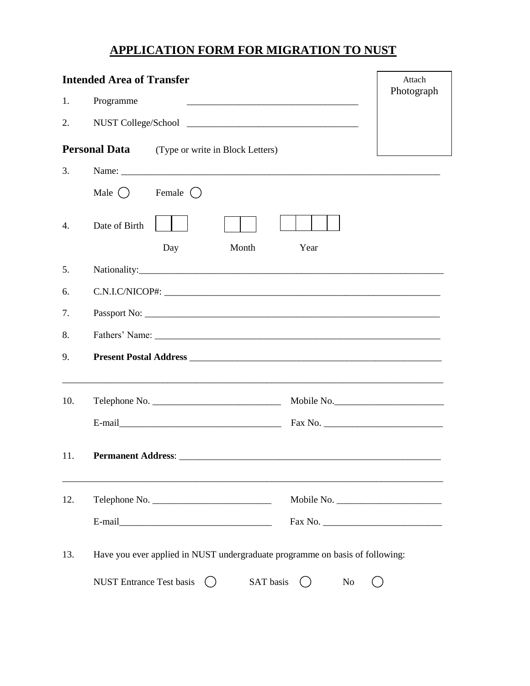## **APPLICATION FORM FOR MIGRATION TO NUST**

| <b>Intended Area of Transfer</b> |                                                          |                                                                                                                |           |                                                                                                                                     | Attach |  |
|----------------------------------|----------------------------------------------------------|----------------------------------------------------------------------------------------------------------------|-----------|-------------------------------------------------------------------------------------------------------------------------------------|--------|--|
| 1.                               | Programme                                                | Photograph                                                                                                     |           |                                                                                                                                     |        |  |
| 2.                               |                                                          |                                                                                                                |           |                                                                                                                                     |        |  |
|                                  | <b>Personal Data</b><br>(Type or write in Block Letters) |                                                                                                                |           |                                                                                                                                     |        |  |
| 3.                               |                                                          |                                                                                                                |           |                                                                                                                                     |        |  |
|                                  | Male $( )$                                               | Female ()                                                                                                      |           |                                                                                                                                     |        |  |
| 4.                               | Date of Birth                                            |                                                                                                                |           |                                                                                                                                     |        |  |
|                                  |                                                          | Day                                                                                                            | Month     | Year                                                                                                                                |        |  |
| 5.                               |                                                          |                                                                                                                |           |                                                                                                                                     |        |  |
| 6.                               |                                                          |                                                                                                                |           |                                                                                                                                     |        |  |
| 7.                               |                                                          |                                                                                                                |           |                                                                                                                                     |        |  |
| 8.                               |                                                          |                                                                                                                |           |                                                                                                                                     |        |  |
| 9.                               |                                                          |                                                                                                                |           |                                                                                                                                     |        |  |
| 10.                              |                                                          |                                                                                                                |           | <u> 1989 - Johann Barn, mars ar breithinn ar cheangail ann an chomhainn an chomhainn an chomhainn an chomhainn an</u><br>Mobile No. |        |  |
|                                  |                                                          |                                                                                                                |           |                                                                                                                                     |        |  |
| 11.                              | <b>Permanent Address:</b>                                |                                                                                                                |           |                                                                                                                                     |        |  |
| 12.                              |                                                          |                                                                                                                |           |                                                                                                                                     |        |  |
|                                  |                                                          | E-mail 2008 2010 2021 2022 2023 2024 2022 2022 2023 2024 2022 2023 2024 2022 2023 2024 2025 2026 2027 2028 202 |           |                                                                                                                                     |        |  |
| 13.                              |                                                          |                                                                                                                |           | Have you ever applied in NUST undergraduate programme on basis of following:                                                        |        |  |
|                                  | <b>NUST Entrance Test basis</b>                          |                                                                                                                | SAT basis | N <sub>0</sub>                                                                                                                      |        |  |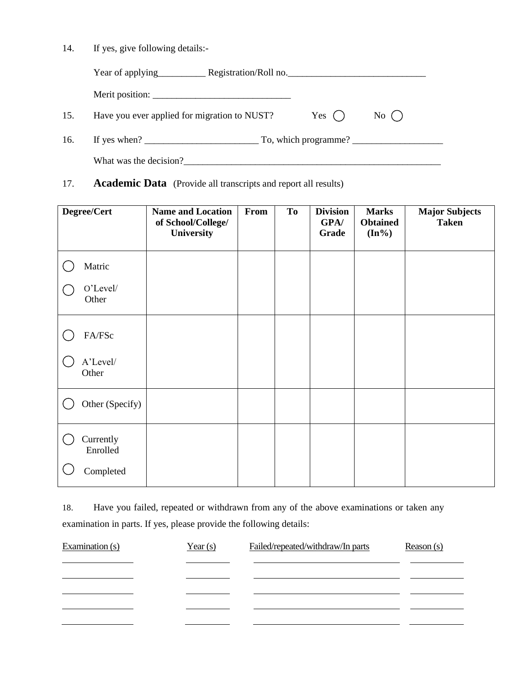14. If yes, give following details:-

|     | Year of applying                                     | Registration/Roll no. |                   |  |
|-----|------------------------------------------------------|-----------------------|-------------------|--|
|     |                                                      |                       |                   |  |
| 15. | Have you ever applied for migration to NUST?         | Yes $( )$             | $\mathrm{No}(\ )$ |  |
| 16. | If yes when $?$ $\qquad \qquad$ To, which programme? |                       |                   |  |
|     | What was the decision?                               |                       |                   |  |

17. **Academic Data** (Provide all transcripts and report all results)

| Degree/Cert           | <b>Name and Location</b><br>of School/College/<br>University | From | To | <b>Division</b><br>GPA/<br>Grade | <b>Marks</b><br><b>Obtained</b><br>$(In\%)$ | <b>Major Subjects</b><br><b>Taken</b> |
|-----------------------|--------------------------------------------------------------|------|----|----------------------------------|---------------------------------------------|---------------------------------------|
| Matric                |                                                              |      |    |                                  |                                             |                                       |
| O'Level/<br>Other     |                                                              |      |    |                                  |                                             |                                       |
| FA/FSc                |                                                              |      |    |                                  |                                             |                                       |
| A'Level/<br>Other     |                                                              |      |    |                                  |                                             |                                       |
| Other (Specify)       |                                                              |      |    |                                  |                                             |                                       |
| Currently<br>Enrolled |                                                              |      |    |                                  |                                             |                                       |
| Completed             |                                                              |      |    |                                  |                                             |                                       |

18. Have you failed, repeated or withdrawn from any of the above examinations or taken any examination in parts. If yes, please provide the following details:

| Examination $(s)$ | Year $(s)$ | Failed/repeated/withdraw/In parts | Reason(s) |
|-------------------|------------|-----------------------------------|-----------|
|                   |            |                                   |           |
|                   |            |                                   |           |
|                   |            |                                   |           |
|                   |            |                                   |           |
|                   |            |                                   |           |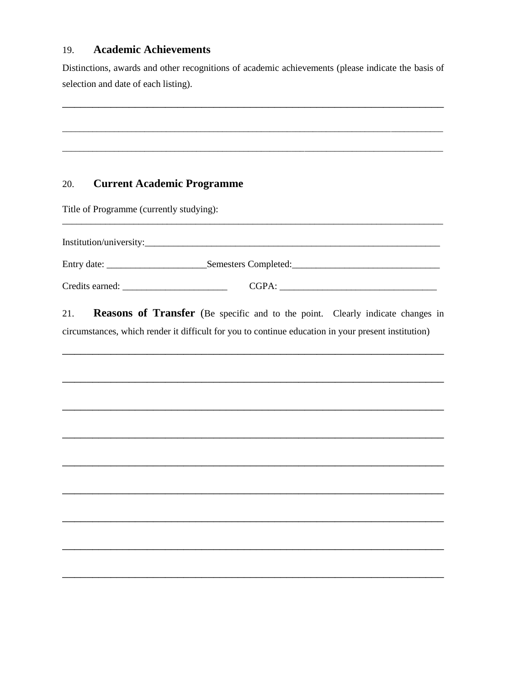#### 19. **Academic Achievements**

Distinctions, awards and other recognitions of academic achievements (please indicate the basis of selection and date of each listing).

#### **Current Academic Programme** 20.

Title of Programme (currently studying):

| Institution/university: |                      |  |
|-------------------------|----------------------|--|
| Entry date:             | Semesters Completed: |  |
| Credits earned:         | CGPA:                |  |

Reasons of Transfer (Be specific and to the point. Clearly indicate changes in 21. circumstances, which render it difficult for you to continue education in your present institution)

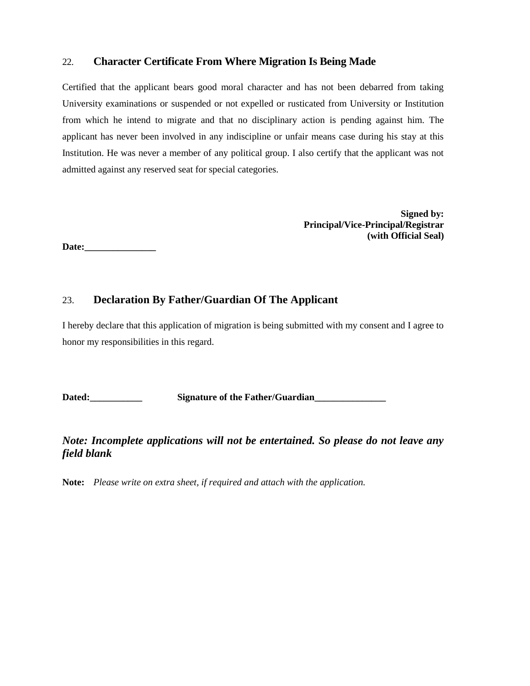## 22. **Character Certificate From Where Migration Is Being Made**

Certified that the applicant bears good moral character and has not been debarred from taking University examinations or suspended or not expelled or rusticated from University or Institution from which he intend to migrate and that no disciplinary action is pending against him. The applicant has never been involved in any indiscipline or unfair means case during his stay at this Institution. He was never a member of any political group. I also certify that the applicant was not admitted against any reserved seat for special categories.

> **Signed by: Principal/Vice-Principal/Registrar (with Official Seal)**

**Date:\_\_\_\_\_\_\_\_\_\_\_\_\_\_\_**

#### 23. **Declaration By Father/Guardian Of The Applicant**

I hereby declare that this application of migration is being submitted with my consent and I agree to honor my responsibilities in this regard.

Dated: Signature of the Father/Guardian

#### *Note: Incomplete applications will not be entertained. So please do not leave any field blank*

**Note:** *Please write on extra sheet, if required and attach with the application.*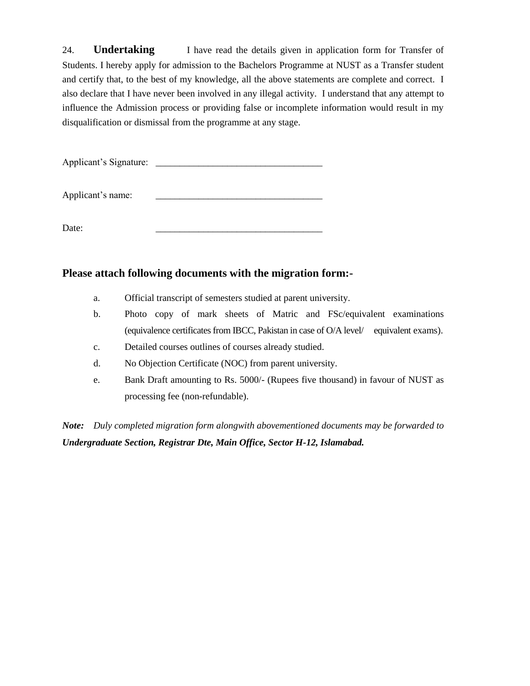24. **Undertaking** I have read the details given in application form for Transfer of Students. I hereby apply for admission to the Bachelors Programme at NUST as a Transfer student and certify that, to the best of my knowledge, all the above statements are complete and correct. I also declare that I have never been involved in any illegal activity. I understand that any attempt to influence the Admission process or providing false or incomplete information would result in my disqualification or dismissal from the programme at any stage.

Applicant's Signature: \_\_\_\_\_\_\_\_\_\_\_\_\_\_\_\_\_\_\_\_\_\_\_\_\_\_\_\_\_\_\_\_\_\_\_

Applicant's name:

Date: \_\_\_\_\_\_\_\_\_\_\_\_\_\_\_\_\_\_\_\_\_\_\_\_\_\_\_\_\_\_\_\_\_\_\_

#### **Please attach following documents with the migration form:-**

- a. Official transcript of semesters studied at parent university.
- b. Photo copy of mark sheets of Matric and FSc/equivalent examinations (equivalence certificates from IBCC, Pakistan in case of O/A level/ equivalent exams).
- c. Detailed courses outlines of courses already studied.
- d. No Objection Certificate (NOC) from parent university.
- e. Bank Draft amounting to Rs. 5000/- (Rupees five thousand) in favour of NUST as processing fee (non-refundable).

*Note: Duly completed migration form alongwith abovementioned documents may be forwarded to Undergraduate Section, Registrar Dte, Main Office, Sector H-12, Islamabad.*